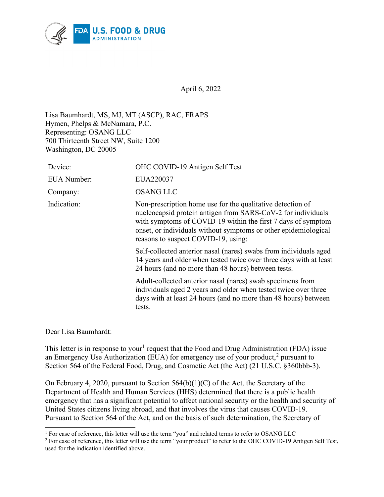

April 6, 2022

Lisa Baumhardt, MS, MJ, MT (ASCP), RAC, FRAPS Hymen, Phelps & McNamara, P.C. Representing: OSANG LLC 700 Thirteenth Street NW, Suite 1200 Washington, DC 20005

| Device:            | OHC COVID-19 Antigen Self Test                                                                                                                                                                                                                                                                       |
|--------------------|------------------------------------------------------------------------------------------------------------------------------------------------------------------------------------------------------------------------------------------------------------------------------------------------------|
| <b>EUA</b> Number: | EUA220037                                                                                                                                                                                                                                                                                            |
| Company:           | <b>OSANG LLC</b>                                                                                                                                                                                                                                                                                     |
| Indication:        | Non-prescription home use for the qualitative detection of<br>nucleocapsid protein antigen from SARS-CoV-2 for individuals<br>with symptoms of COVID-19 within the first 7 days of symptom<br>onset, or individuals without symptoms or other epidemiological<br>reasons to suspect COVID-19, using: |
|                    | Self-collected anterior nasal (nares) swabs from individuals aged<br>14 years and older when tested twice over three days with at least<br>24 hours (and no more than 48 hours) between tests.                                                                                                       |
|                    | Adult-collected anterior nasal (nares) swab specimens from<br>individuals aged 2 years and older when tested twice over three<br>days with at least 24 hours (and no more than 48 hours) between<br>tests.                                                                                           |

Dear Lisa Baumhardt:

This letter is in response to your<sup>[1](#page-0-0)</sup> request that the Food and Drug Administration (FDA) issue an Emergency Use Authorization (EUA) for emergency use of your product,<sup>[2](#page-0-1)</sup> pursuant to Section 564 of the Federal Food, Drug, and Cosmetic Act (the Act) (21 U.S.C. §360bbb-3).

On February 4, 2020, pursuant to Section 564(b)(1)(C) of the Act, the Secretary of the Department of Health and Human Services (HHS) determined that there is a public health emergency that has a significant potential to affect national security or the health and security of United States citizens living abroad, and that involves the virus that causes COVID-19. Pursuant to Section 564 of the Act, and on the basis of such determination, the Secretary of

<span id="page-0-0"></span><sup>&</sup>lt;sup>1</sup> For ease of reference, this letter will use the term "you" and related terms to refer to OSANG LLC

<span id="page-0-1"></span><sup>&</sup>lt;sup>2</sup> For ease of reference, this letter will use the term "your product" to refer to the OHC COVID-19 Antigen Self Test, used for the indication identified above.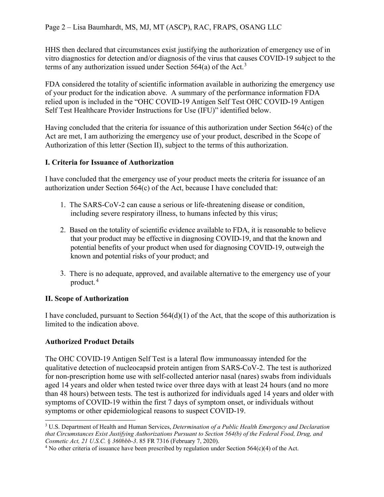HHS then declared that circumstances exist justifying the authorization of emergency use of in vitro diagnostics for detection and/or diagnosis of the virus that causes COVID-19 subject to the terms of any authorization issued under Section 564(a) of the Act.<sup>[3](#page-1-0)</sup>

FDA considered the totality of scientific information available in authorizing the emergency use of your product for the indication above. A summary of the performance information FDA relied upon is included in the "OHC COVID-19 Antigen Self Test OHC COVID-19 Antigen Self Test Healthcare Provider Instructions for Use (IFU)" identified below.

Having concluded that the criteria for issuance of this authorization under Section 564(c) of the Act are met, I am authorizing the emergency use of your product, described in the Scope of Authorization of this letter (Section II), subject to the terms of this authorization.

## **I. Criteria for Issuance of Authorization**

I have concluded that the emergency use of your product meets the criteria for issuance of an authorization under Section 564(c) of the Act, because I have concluded that:

- 1. The SARS-CoV-2 can cause a serious or life-threatening disease or condition, including severe respiratory illness, to humans infected by this virus;
- 2. Based on the totality of scientific evidence available to FDA, it is reasonable to believe that your product may be effective in diagnosing COVID-19, and that the known and potential benefits of your product when used for diagnosing COVID-19, outweigh the known and potential risks of your product; and
- 3. There is no adequate, approved, and available alternative to the emergency use of your product. [4](#page-1-1)

#### **II. Scope of Authorization**

I have concluded, pursuant to Section 564(d)(1) of the Act, that the scope of this authorization is limited to the indication above.

## **Authorized Product Details**

The OHC COVID-19 Antigen Self Test is a lateral flow immunoassay intended for the qualitative detection of nucleocapsid protein antigen from SARS-CoV-2. The test is authorized for non-prescription home use with self-collected anterior nasal (nares) swabs from individuals aged 14 years and older when tested twice over three days with at least 24 hours (and no more than 48 hours) between tests. The test is authorized for individuals aged 14 years and older with symptoms of COVID-19 within the first 7 days of symptom onset, or individuals without symptoms or other epidemiological reasons to suspect COVID-19.

<span id="page-1-0"></span><sup>3</sup> U.S. Department of Health and Human Services, *Determination of a Public Health Emergency and Declaration that Circumstances Exist Justifying Authorizations Pursuant to Section 564(b) of the Federal Food, Drug, and Cosmetic Act, 21 U.S.C.* § *360bbb-3.* 85 FR 7316 (February 7, 2020).<br><sup>4</sup> No other criteria of issuance have been prescribed by regulation under Section 564(c)(4) of the Act.

<span id="page-1-1"></span>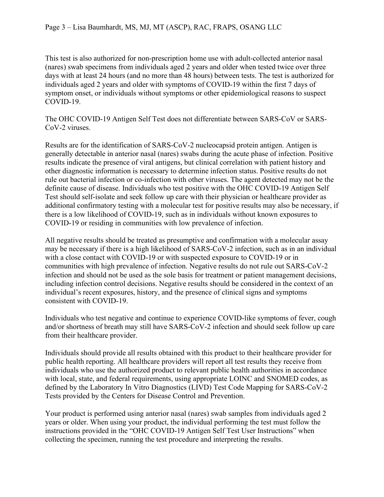This test is also authorized for non-prescription home use with adult-collected anterior nasal (nares) swab specimens from individuals aged 2 years and older when tested twice over three days with at least 24 hours (and no more than 48 hours) between tests. The test is authorized for individuals aged 2 years and older with symptoms of COVID-19 within the first 7 days of symptom onset, or individuals without symptoms or other epidemiological reasons to suspect COVID-19.

The OHC COVID-19 Antigen Self Test does not differentiate between SARS-CoV or SARS-CoV-2 viruses.

Results are for the identification of SARS-CoV-2 nucleocapsid protein antigen. Antigen is generally detectable in anterior nasal (nares) swabs during the acute phase of infection. Positive results indicate the presence of viral antigens, but clinical correlation with patient history and other diagnostic information is necessary to determine infection status. Positive results do not rule out bacterial infection or co-infection with other viruses. The agent detected may not be the definite cause of disease. Individuals who test positive with the OHC COVID-19 Antigen Self Test should self-isolate and seek follow up care with their physician or healthcare provider as additional confirmatory testing with a molecular test for positive results may also be necessary, if there is a low likelihood of COVID-19, such as in individuals without known exposures to COVID-19 or residing in communities with low prevalence of infection.

All negative results should be treated as presumptive and confirmation with a molecular assay may be necessary if there is a high likelihood of SARS-CoV-2 infection, such as in an individual with a close contact with COVID-19 or with suspected exposure to COVID-19 or in communities with high prevalence of infection. Negative results do not rule out SARS-CoV-2 infection and should not be used as the sole basis for treatment or patient management decisions, including infection control decisions. Negative results should be considered in the context of an individual's recent exposures, history, and the presence of clinical signs and symptoms consistent with COVID-19.

Individuals who test negative and continue to experience COVID-like symptoms of fever, cough and/or shortness of breath may still have SARS-CoV-2 infection and should seek follow up care from their healthcare provider.

Individuals should provide all results obtained with this product to their healthcare provider for public health reporting. All healthcare providers will report all test results they receive from individuals who use the authorized product to relevant public health authorities in accordance with local, state, and federal requirements, using appropriate LOINC and SNOMED codes, as defined by the Laboratory In Vitro Diagnostics (LIVD) Test Code Mapping for SARS-CoV-2 Tests provided by the Centers for Disease Control and Prevention.

Your product is performed using anterior nasal (nares) swab samples from individuals aged 2 years or older. When using your product, the individual performing the test must follow the instructions provided in the "OHC COVID-19 Antigen Self Test User Instructions" when collecting the specimen, running the test procedure and interpreting the results.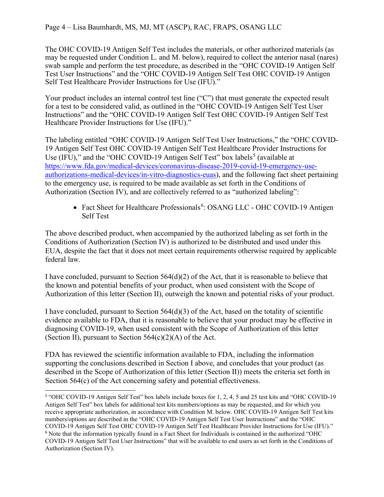#### Page 4 – Lisa Baumhardt, MS, MJ, MT (ASCP), RAC, FRAPS, OSANG LLC

The OHC COVID-19 Antigen Self Test includes the materials, or other authorized materials (as may be requested under Condition L. and M. below), required to collect the anterior nasal (nares) swab sample and perform the test procedure, as described in the "OHC COVID-19 Antigen Self Test User Instructions" and the "OHC COVID-19 Antigen Self Test OHC COVID-19 Antigen Self Test Healthcare Provider Instructions for Use (IFU)."

Your product includes an internal control test line ("C") that must generate the expected result for a test to be considered valid, as outlined in the "OHC COVID-19 Antigen Self Test User Instructions" and the "OHC COVID-19 Antigen Self Test OHC COVID-19 Antigen Self Test Healthcare Provider Instructions for Use (IFU)."

The labeling entitled "OHC COVID-19 Antigen Self Test User Instructions," the "OHC COVID-19 Antigen Self Test OHC COVID-19 Antigen Self Test Healthcare Provider Instructions for Use (IFU)," and the "OHC COVID-19 Antigen Self Test" box labels<sup>[5](#page-3-0)</sup> (available at [https://www.fda.gov/medical-devices/coronavirus-disease-2019-covid-19-emergency-use](https://www.fda.gov/medical-devices/coronavirus-disease-2019-covid-19-emergency-use-authorizations-medical-devices/in-vitro-diagnostics-euas)[authorizations-medical-devices/in-vitro-diagnostics-euas\)](https://www.fda.gov/medical-devices/coronavirus-disease-2019-covid-19-emergency-use-authorizations-medical-devices/in-vitro-diagnostics-euas), and the following fact sheet pertaining to the emergency use, is required to be made available as set forth in the Conditions of Authorization (Section IV), and are collectively referred to as "authorized labeling":

• Fact Sheet for Healthcare Professionals<sup>[6](#page-3-1)</sup>: OSANG LLC - OHC COVID-19 Antigen Self Test

The above described product, when accompanied by the authorized labeling as set forth in the Conditions of Authorization (Section IV) is authorized to be distributed and used under this EUA, despite the fact that it does not meet certain requirements otherwise required by applicable federal law.

I have concluded, pursuant to Section  $564(d)(2)$  of the Act, that it is reasonable to believe that the known and potential benefits of your product, when used consistent with the Scope of Authorization of this letter (Section II), outweigh the known and potential risks of your product.

I have concluded, pursuant to Section  $564(d)(3)$  of the Act, based on the totality of scientific evidence available to FDA, that it is reasonable to believe that your product may be effective in diagnosing COVID-19, when used consistent with the Scope of Authorization of this letter (Section II), pursuant to Section  $564(c)(2)(A)$  of the Act.

FDA has reviewed the scientific information available to FDA, including the information supporting the conclusions described in Section I above, and concludes that your product (as described in the Scope of Authorization of this letter (Section II)) meets the criteria set forth in Section 564(c) of the Act concerning safety and potential effectiveness.

<span id="page-3-1"></span><span id="page-3-0"></span><sup>5</sup> "OHC COVID-19 Antigen Self Test" box labels include boxes for 1, 2, 4, 5 and 25 test kits and "OHC COVID-19 Antigen Self Test" box labels for additional test kits numbers/options as may be requested, and for which you receive appropriate authorization, in accordance with Condition M. below. OHC COVID-19 Antigen Self Test kits numbers/options are described in the "OHC COVID-19 Antigen Self Test User Instructions" and the "OHC COVID-19 Antigen Self Test OHC COVID-19 Antigen Self Test Healthcare Provider Instructions for Use (IFU)." <sup>6</sup> Note that the information typically found in a Fact Sheet for Individuals is contained in the authorized "OHC COVID-19 Antigen Self Test User Instructions" that will be available to end users as set forth in the Conditions of Authorization (Section IV).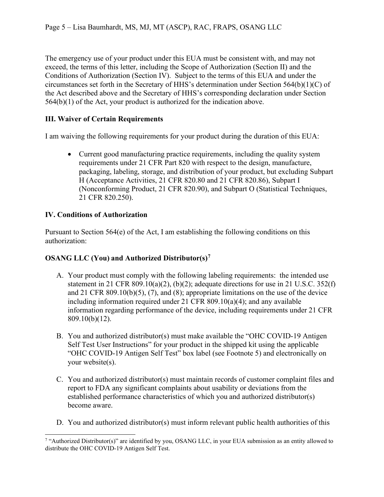The emergency use of your product under this EUA must be consistent with, and may not exceed, the terms of this letter, including the Scope of Authorization (Section II) and the Conditions of Authorization (Section IV). Subject to the terms of this EUA and under the circumstances set forth in the Secretary of HHS's determination under Section 564(b)(1)(C) of the Act described above and the Secretary of HHS's corresponding declaration under Section 564(b)(1) of the Act, your product is authorized for the indication above.

# **III. Waiver of Certain Requirements**

I am waiving the following requirements for your product during the duration of this EUA:

• Current good manufacturing practice requirements, including the quality system requirements under 21 CFR Part 820 with respect to the design, manufacture, packaging, labeling, storage, and distribution of your product, but excluding Subpart H (Acceptance Activities, 21 CFR 820.80 and 21 CFR 820.86), Subpart I (Nonconforming Product, 21 CFR 820.90), and Subpart O (Statistical Techniques, 21 CFR 820.250).

## **IV. Conditions of Authorization**

Pursuant to Section  $564(e)$  of the Act, I am establishing the following conditions on this authorization:

## **OSANG LLC (You) and Authorized Distributor(s)[7](#page-4-0)**

- A. Your product must comply with the following labeling requirements: the intended use statement in 21 CFR 809.10(a)(2), (b)(2); adequate directions for use in 21 U.S.C.  $352(f)$ and 21 CFR 809.10(b)(5), (7), and (8); appropriate limitations on the use of the device including information required under 21 CFR 809.10(a)(4); and any available information regarding performance of the device, including requirements under 21 CFR 809.10(b)(12).
- B. You and authorized distributor(s) must make available the "OHC COVID-19 Antigen Self Test User Instructions" for your product in the shipped kit using the applicable "OHC COVID-19 Antigen Self Test" box label (see Footnote 5) and electronically on your website(s).
- C. You and authorized distributor(s) must maintain records of customer complaint files and report to FDA any significant complaints about usability or deviations from the established performance characteristics of which you and authorized distributor(s) become aware.
- D. You and authorized distributor(s) must inform relevant public health authorities of this

<span id="page-4-0"></span><sup>&</sup>lt;sup>7</sup> "Authorized Distributor(s)" are identified by you, OSANG LLC, in your EUA submission as an entity allowed to distribute the OHC COVID-19 Antigen Self Test.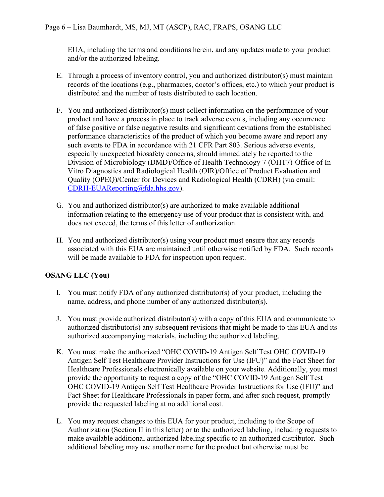EUA, including the terms and conditions herein, and any updates made to your product and/or the authorized labeling.

- E. Through a process of inventory control, you and authorized distributor(s) must maintain records of the locations (e.g., pharmacies, doctor's offices, etc.) to which your product is distributed and the number of tests distributed to each location.
- F. You and authorized distributor(s) must collect information on the performance of your product and have a process in place to track adverse events, including any occurrence of false positive or false negative results and significant deviations from the established performance characteristics of the product of which you become aware and report any such events to FDA in accordance with 21 CFR Part 803. Serious adverse events, especially unexpected biosafety concerns, should immediately be reported to the Division of Microbiology (DMD)/Office of Health Technology 7 (OHT7)-Office of In Vitro Diagnostics and Radiological Health (OIR)/Office of Product Evaluation and Quality (OPEQ)/Center for Devices and Radiological Health (CDRH) (via email: [CDRH-EUAReporting@fda.hhs.gov\)](mailto:CDRH-EUAReporting@fda.hhs.gov).
- G. You and authorized distributor(s) are authorized to make available additional information relating to the emergency use of your product that is consistent with, and does not exceed, the terms of this letter of authorization.
- H. You and authorized distributor(s) using your product must ensure that any records associated with this EUA are maintained until otherwise notified by FDA. Such records will be made available to FDA for inspection upon request.

# **OSANG LLC (You)**

- I. You must notify FDA of any authorized distributor(s) of your product, including the name, address, and phone number of any authorized distributor(s).
- J. You must provide authorized distributor(s) with a copy of this EUA and communicate to authorized distributor(s) any subsequent revisions that might be made to this EUA and its authorized accompanying materials, including the authorized labeling.
- K. You must make the authorized "OHC COVID-19 Antigen Self Test OHC COVID-19 Antigen Self Test Healthcare Provider Instructions for Use (IFU)" and the Fact Sheet for Healthcare Professionals electronically available on your website. Additionally, you must provide the opportunity to request a copy of the "OHC COVID-19 Antigen Self Test OHC COVID-19 Antigen Self Test Healthcare Provider Instructions for Use (IFU)" and Fact Sheet for Healthcare Professionals in paper form, and after such request, promptly provide the requested labeling at no additional cost.
- L. You may request changes to this EUA for your product, including to the Scope of Authorization (Section II in this letter) or to the authorized labeling, including requests to make available additional authorized labeling specific to an authorized distributor. Such additional labeling may use another name for the product but otherwise must be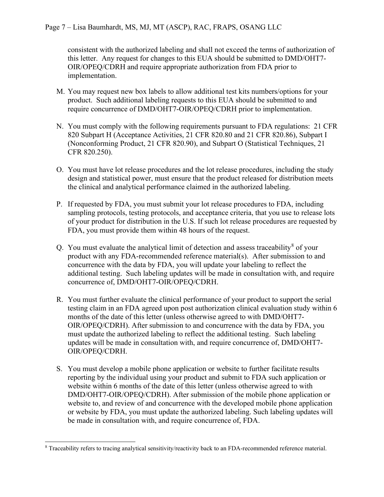consistent with the authorized labeling and shall not exceed the terms of authorization of this letter. Any request for changes to this EUA should be submitted to DMD/OHT7- OIR/OPEQ/CDRH and require appropriate authorization from FDA prior to implementation.

- M. You may request new box labels to allow additional test kits numbers/options for your product. Such additional labeling requests to this EUA should be submitted to and require concurrence of DMD/OHT7-OIR/OPEQ/CDRH prior to implementation.
- N. You must comply with the following requirements pursuant to FDA regulations: 21 CFR 820 Subpart H (Acceptance Activities, 21 CFR 820.80 and 21 CFR 820.86), Subpart I (Nonconforming Product, 21 CFR 820.90), and Subpart O (Statistical Techniques, 21 CFR 820.250).
- O. You must have lot release procedures and the lot release procedures, including the study design and statistical power, must ensure that the product released for distribution meets the clinical and analytical performance claimed in the authorized labeling.
- P. If requested by FDA, you must submit your lot release procedures to FDA, including sampling protocols, testing protocols, and acceptance criteria, that you use to release lots of your product for distribution in the U.S. If such lot release procedures are requested by FDA, you must provide them within 48 hours of the request.
- Q. You must evaluate the analytical limit of detection and assess traceability<sup>[8](#page-6-0)</sup> of your product with any FDA-recommended reference material(s). After submission to and concurrence with the data by FDA, you will update your labeling to reflect the additional testing. Such labeling updates will be made in consultation with, and require concurrence of, DMD/OHT7-OIR/OPEQ/CDRH.
- R. You must further evaluate the clinical performance of your product to support the serial testing claim in an FDA agreed upon post authorization clinical evaluation study within 6 months of the date of this letter (unless otherwise agreed to with DMD/OHT7- OIR/OPEQ/CDRH). After submission to and concurrence with the data by FDA, you must update the authorized labeling to reflect the additional testing. Such labeling updates will be made in consultation with, and require concurrence of, DMD/OHT7- OIR/OPEQ/CDRH.
- S. You must develop a mobile phone application or website to further facilitate results reporting by the individual using your product and submit to FDA such application or website within 6 months of the date of this letter (unless otherwise agreed to with DMD/OHT7-OIR/OPEQ/CDRH). After submission of the mobile phone application or website to, and review of and concurrence with the developed mobile phone application or website by FDA, you must update the authorized labeling. Such labeling updates will be made in consultation with, and require concurrence of, FDA.

<span id="page-6-0"></span><sup>8</sup> Traceability refers to tracing analytical sensitivity/reactivity back to an FDA-recommended reference material.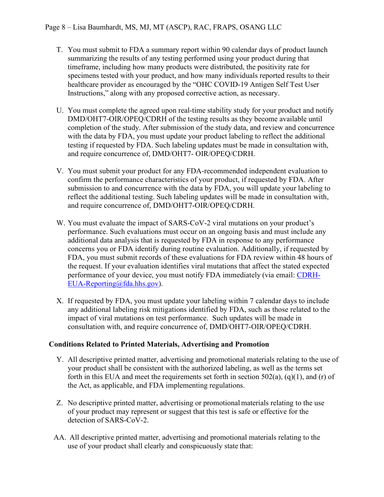- T. You must submit to FDA a summary report within 90 calendar days of product launch summarizing the results of any testing performed using your product during that timeframe, including how many products were distributed, the positivity rate for specimens tested with your product, and how many individuals reported results to their healthcare provider as encouraged by the "OHC COVID-19 Antigen Self Test User Instructions," along with any proposed corrective action, as necessary.
- U. You must complete the agreed upon real-time stability study for your product and notify DMD/OHT7-OIR/OPEQ/CDRH of the testing results as they become available until completion of the study. After submission of the study data, and review and concurrence with the data by FDA, you must update your product labeling to reflect the additional testing if requested by FDA. Such labeling updates must be made in consultation with, and require concurrence of, DMD/OHT7- OIR/OPEQ/CDRH.
- V. You must submit your product for any FDA-recommended independent evaluation to confirm the performance characteristics of your product, if requested by FDA. After submission to and concurrence with the data by FDA, you will update your labeling to reflect the additional testing. Such labeling updates will be made in consultation with, and require concurrence of, DMD/OHT7-OIR/OPEQ/CDRH.
- W. You must evaluate the impact of SARS-CoV-2 viral mutations on your product's performance. Such evaluations must occur on an ongoing basis and must include any additional data analysis that is requested by FDA in response to any performance concerns you or FDA identify during routine evaluation. Additionally, if requested by FDA, you must submit records of these evaluations for FDA review within 48 hours of the request. If your evaluation identifies viral mutations that affect the stated expected performance of your device, you must notify FDA immediately (via email: [CDRH-](mailto:CDRH-EUA-Reporting@fda.hhs.gov)[EUA-Reporting@fda.hhs.gov\)](mailto:CDRH-EUA-Reporting@fda.hhs.gov).
- X. If requested by FDA, you must update your labeling within 7 calendar days to include any additional labeling risk mitigations identified by FDA, such as those related to the impact of viral mutations on test performance. Such updates will be made in consultation with, and require concurrence of, DMD/OHT7-OIR/OPEQ/CDRH.

#### **Conditions Related to Printed Materials, Advertising and Promotion**

- Y. All descriptive printed matter, advertising and promotional materials relating to the use of your product shall be consistent with the authorized labeling, as well as the terms set forth in this EUA and meet the requirements set forth in section  $502(a)$ ,  $(q)(1)$ , and  $(r)$  of the Act, as applicable, and FDA implementing regulations.
- Z. No descriptive printed matter, advertising or promotionalmaterials relating to the use of your product may represent or suggest that this test is safe or effective for the detection of SARS-CoV-2.
- AA. All descriptive printed matter, advertising and promotional materials relating to the use of your product shall clearly and conspicuously state that: